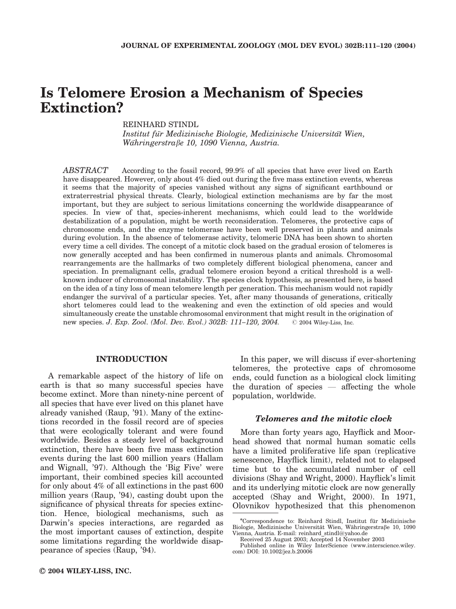# Is Telomere Erosion a Mechanism of Species Extinction?

REINHARD STINDL

Institut für Medizinische Biologie, Medizinische Universität Wien, Wa¨hringerstra*b*e 10, 1090 Vienna, Austria.

ABSTRACT According to the fossil record, 99.9% of all species that have ever lived on Earth have disappeared. However, only about 4% died out during the five mass extinction events, whereas it seems that the majority of species vanished without any signs of significant earthbound or extraterrestrial physical threats. Clearly, biological extinction mechanisms are by far the most important, but they are subject to serious limitations concerning the worldwide disappearance of species. In view of that, species-inherent mechanisms, which could lead to the worldwide destabilization of a population, might be worth reconsideration. Telomeres, the protective caps of chromosome ends, and the enzyme telomerase have been well preserved in plants and animals during evolution. In the absence of telomerase activity, telomeric DNA has been shown to shorten every time a cell divides. The concept of a mitotic clock based on the gradual erosion of telomeres is now generally accepted and has been confirmed in numerous plants and animals. Chromosomal rearrangements are the hallmarks of two completely different biological phenomena, cancer and speciation. In premalignant cells, gradual telomere erosion beyond a critical threshold is a wellknown inducer of chromosomal instability. The species clock hypothesis, as presented here, is based on the idea of a tiny loss of mean telomere length per generation. This mechanism would not rapidly endanger the survival of a particular species. Yet, after many thousands of generations, critically short telomeres could lead to the weakening and even the extinction of old species and would simultaneously create the unstable chromosomal environment that might result in the origination of new species. J. Exp. Zool. (Mol. Dev. Evol.)  $302B$ :  $111-120$ ,  $2004$ .  $\circ$  2004 Wiley-Liss, Inc.

#### INTRODUCTION

A remarkable aspect of the history of life on earth is that so many successful species have become extinct. More than ninety-nine percent of all species that have ever lived on this planet have already vanished (Raup, '91). Many of the extinctions recorded in the fossil record are of species that were ecologically tolerant and were found worldwide. Besides a steady level of background extinction, there have been five mass extinction events during the last 600 million years (Hallam and Wignall, '97). Although the 'Big Five' were important, their combined species kill accounted for only about 4% of all extinctions in the past 600 million years (Raup, '94), casting doubt upon the significance of physical threats for species extinction. Hence, biological mechanisms, such as Darwin's species interactions, are regarded as the most important causes of extinction, despite some limitations regarding the worldwide disappearance of species (Raup, '94).

In this paper, we will discuss if ever-shortening telomeres, the protective caps of chromosome ends, could function as a biological clock limiting the duration of species  $-$  affecting the whole population, worldwide.

# Telomeres and the mitotic clock

More than forty years ago, Hayflick and Moorhead showed that normal human somatic cells have a limited proliferative life span (replicative senescence, Hayflick limit), related not to elapsed time but to the accumulated number of cell divisions (Shay and Wright, 2000). Hayflick's limit and its underlying mitotic clock are now generally accepted (Shay and Wright, 2000). In 1971, Olovnikov hypothesized that this phenomenon

*n* Correspondence to: Reinhard Stindl, Institut fu¨r Medizinische Biologie, Medizinische Universita¨t Wien, Wa¨hringerstra*b*e 10, 1090 Vienna, Austria. E-mail: reinhard\_stindl@yahoo.de

Received 25 August 2003; Accepted 14 November 2003

Published online in Wiley InterScience (www.interscience.wiley. com) DOI: 10.1002/jez.b.20006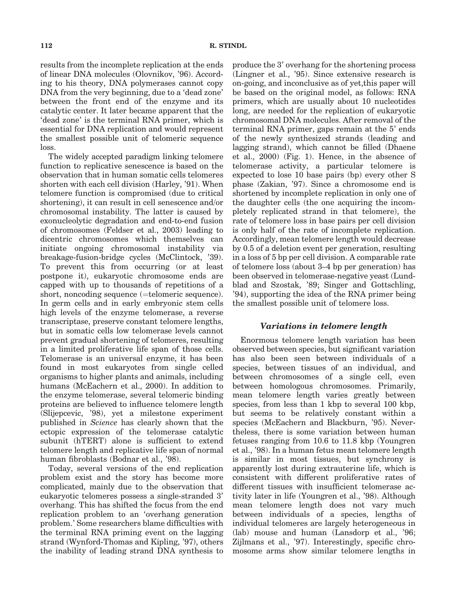results from the incomplete replication at the ends of linear DNA molecules (Olovnikov, '96). According to his theory, DNA polymerases cannot copy DNA from the very beginning, due to a 'dead zone' between the front end of the enzyme and its catalytic center. It later became apparent that the 'dead zone' is the terminal RNA primer, which is essential for DNA replication and would represent the smallest possible unit of telomeric sequence loss.

The widely accepted paradigm linking telomere function to replicative senescence is based on the observation that in human somatic cells telomeres shorten with each cell division (Harley, '91). When telomere function is compromised (due to critical shortening), it can result in cell senescence and/or chromosomal instability. The latter is caused by exonucleolytic degradation and end-to-end fusion of chromosomes (Feldser et al., 2003) leading to dicentric chromosomes which themselves can initiate ongoing chromosomal instability via breakage-fusion-bridge cycles (McClintock, '39). To prevent this from occurring (or at least postpone it), eukaryotic chromosome ends are capped with up to thousands of repetitions of a short, noncoding sequence  $(=$ telomeric sequence). In germ cells and in early embryonic stem cells high levels of the enzyme telomerase, a reverse transcriptase, preserve constant telomere lengths, but in somatic cells low telomerase levels cannot prevent gradual shortening of telomeres, resulting in a limited proliferative life span of those cells. Telomerase is an universal enzyme, it has been found in most eukaryotes from single celled organisms to higher plants and animals, including humans (McEachern et al., 2000). In addition to the enzyme telomerase, several telomeric binding proteins are believed to influence telomere length (Slijepcevic, '98), yet a milestone experiment published in Science has clearly shown that the ectopic expression of the telomerase catalytic subunit (hTERT) alone is sufficient to extend telomere length and replicative life span of normal human fibroblasts (Bodnar et al., '98).

Today, several versions of the end replication problem exist and the story has become more complicated, mainly due to the observation that eukaryotic telomeres possess a single-stranded 3' overhang. This has shifted the focus from the end replication problem to an 'overhang generation problem.' Some researchers blame difficulties with the terminal RNA priming event on the lagging strand (Wynford-Thomas and Kipling, '97), others the inability of leading strand DNA synthesis to

produce the 3' overhang for the shortening process (Lingner et al., '95). Since extensive research is on-going, and inconclusive as of yet,this paper will be based on the original model, as follows: RNA primers, which are usually about 10 nucleotides long, are needed for the replication of eukaryotic chromosomal DNA molecules. After removal of the terminal RNA primer, gaps remain at the 5' ends of the newly synthesized strands (leading and lagging strand), which cannot be filled (Dhaene et al., 2000) (Fig. 1). Hence, in the absence of telomerase activity, a particular telomere is expected to lose 10 base pairs (bp) every other S phase (Zakian, '97). Since a chromosome end is shortened by incomplete replication in only one of the daughter cells (the one acquiring the incompletely replicated strand in that telomere), the rate of telomere loss in base pairs per cell division is only half of the rate of incomplete replication. Accordingly, mean telomere length would decrease by 0.5 of a deletion event per generation, resulting in a loss of 5 bp per cell division. A comparable rate of telomere loss (about 3–4 bp per generation) has been observed in telomerase-negative yeast (Lundblad and Szostak, '89; Singer and Gottschling, '94), supporting the idea of the RNA primer being the smallest possible unit of telomere loss.

#### Variations in telomere length

Enormous telomere length variation has been observed between species, but significant variation has also been seen between individuals of a species, between tissues of an individual, and between chromosomes of a single cell, even between homologous chromosomes. Primarily, mean telomere length varies greatly between species, from less than 1 kbp to several 100 kbp, but seems to be relatively constant within a species (McEachern and Blackburn, '95). Nevertheless, there is some variation between human fetuses ranging from 10.6 to 11.8 kbp (Youngren et al., '98). In a human fetus mean telomere length is similar in most tissues, but synchrony is apparently lost during extrauterine life, which is consistent with different proliferative rates of different tissues with insufficient telomerase activity later in life (Youngren et al., '98). Although mean telomere length does not vary much between individuals of a species, lengths of individual telomeres are largely heterogeneous in (lab) mouse and human (Lansdorp et al., '96; Zijlmans et al., '97). Interestingly, specific chromosome arms show similar telomere lengths in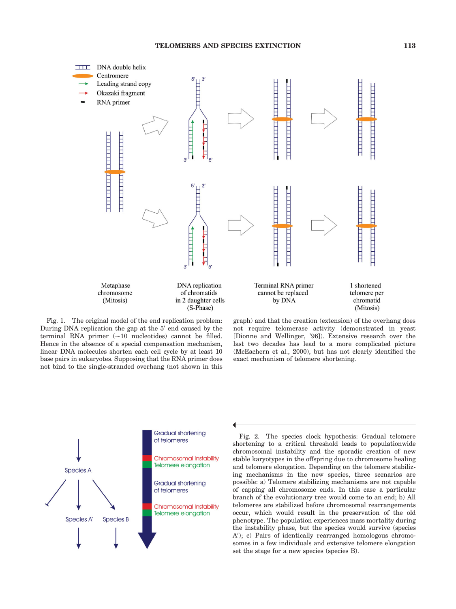

Fig. 1. The original model of the end replication problem: During DNA replication the gap at the  $5'$  end caused by the terminal RNA primer  $(-10$  nucleotides) cannot be filled. Hence in the absence of a special compensation mechanism, linear DNA molecules shorten each cell cycle by at least 10 base pairs in eukaryotes. Supposing that the RNA primer does not bind to the single-stranded overhang (not shown in this

graph) and that the creation (extension) of the overhang does not require telomerase activity (demonstrated in yeast [Dionne and Wellinger, '96]). Extensive research over the last two decades has lead to a more complicated picture (McEachern et al., 2000), but has not clearly identified the exact mechanism of telomere shortening.



Fig. 2. The species clock hypothesis: Gradual telomere shortening to a critical threshold leads to populationwide chromosomal instability and the sporadic creation of new stable karyotypes in the offspring due to chromosome healing and telomere elongation. Depending on the telomere stabilizing mechanisms in the new species, three scenarios are possible: a) Telomere stabilizing mechanisms are not capable of capping all chromosome ends. In this case a particular branch of the evolutionary tree would come to an end; b) All telomeres are stabilized before chromosomal rearrangements occur, which would result in the preservation of the old phenotype. The population experiences mass mortality during the instability phase, but the species would survive (species A<sup>'</sup>); c) Pairs of identically rearranged homologous chromosomes in a few individuals and extensive telomere elongation set the stage for a new species (species B).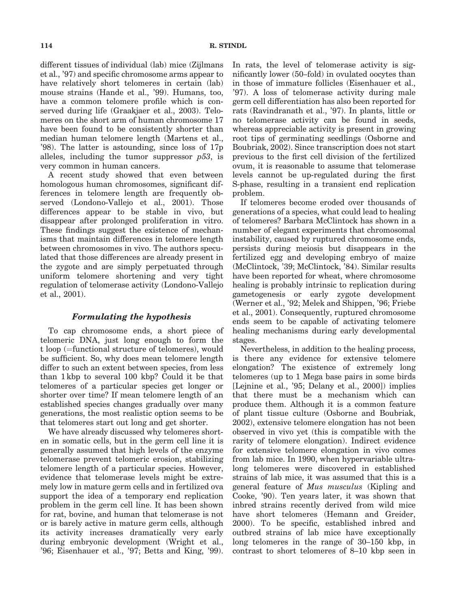different tissues of individual (lab) mice (Zijlmans et al., '97) and specific chromosome arms appear to have relatively short telomeres in certain (lab) mouse strains (Hande et al., '99). Humans, too, have a common telomere profile which is conserved during life (Graakjaer et al., 2003). Telomeres on the short arm of human chromosome 17 have been found to be consistently shorter than median human telomere length (Martens et al., '98). The latter is astounding, since loss of 17p alleles, including the tumor suppressor p53, is very common in human cancers.

A recent study showed that even between homologous human chromosomes, significant differences in telomere length are frequently observed (Londono-Vallejo et al., 2001). Those differences appear to be stable in vivo, but disappear after prolonged proliferation in vitro. These findings suggest the existence of mechanisms that maintain differences in telomere length between chromosomes in vivo. The authors speculated that those differences are already present in the zygote and are simply perpetuated through uniform telomere shortening and very tight regulation of telomerase activity (Londono-Vallejo et al., 2001).

#### Formulating the hypothesis

To cap chromosome ends, a short piece of telomeric DNA, just long enough to form the  $t$  loop ( $=$ functional structure of telomeres), would be sufficient. So, why does mean telomere length differ to such an extent between species, from less than 1 kbp to several 100 kbp? Could it be that telomeres of a particular species get longer or shorter over time? If mean telomere length of an established species changes gradually over many generations, the most realistic option seems to be that telomeres start out long and get shorter.

We have already discussed why telomeres shorten in somatic cells, but in the germ cell line it is generally assumed that high levels of the enzyme telomerase prevent telomeric erosion, stabilizing telomere length of a particular species. However, evidence that telomerase levels might be extremely low in mature germ cells and in fertilized ova support the idea of a temporary end replication problem in the germ cell line. It has been shown for rat, bovine, and human that telomerase is not or is barely active in mature germ cells, although its activity increases dramatically very early during embryonic development (Wright et al., '96; Eisenhauer et al., '97; Betts and King, '99).

In rats, the level of telomerase activity is significantly lower (50–fold) in ovulated oocytes than in those of immature follicles (Eisenhauer et al., '97). A loss of telomerase activity during male germ cell differentiation has also been reported for rats (Ravindranath et al., '97). In plants, little or no telomerase activity can be found in seeds, whereas appreciable activity is present in growing root tips of germinating seedlings (Osborne and Boubriak, 2002). Since transcription does not start previous to the first cell division of the fertilized ovum, it is reasonable to assume that telomerase levels cannot be up-regulated during the first S-phase, resulting in a transient end replication problem.

If telomeres become eroded over thousands of generations of a species, what could lead to healing of telomeres? Barbara McClintock has shown in a number of elegant experiments that chromosomal instability, caused by ruptured chromosome ends, persists during meiosis but disappears in the fertilized egg and developing embryo of maize (McClintock, '39; McClintock, '84). Similar results have been reported for wheat, where chromosome healing is probably intrinsic to replication during gametogenesis or early zygote development (Werner et al., '92; Melek and Shippen, '96; Friebe et al., 2001). Consequently, ruptured chromosome ends seem to be capable of activating telomere healing mechanisms during early developmental stages.

Nevertheless, in addition to the healing process, is there any evidence for extensive telomere elongation? The existence of extremely long telomeres (up to 1 Mega base pairs in some birds [Lejnine et al., '95; Delany et al., 2000]) implies that there must be a mechanism which can produce them. Although it is a common feature of plant tissue culture (Osborne and Boubriak, 2002), extensive telomere elongation has not been observed in vivo yet (this is compatible with the rarity of telomere elongation). Indirect evidence for extensive telomere elongation in vivo comes from lab mice. In 1990, when hypervariable ultralong telomeres were discovered in established strains of lab mice, it was assumed that this is a general feature of Mus musculus (Kipling and Cooke, '90). Ten years later, it was shown that inbred strains recently derived from wild mice have short telomeres (Hemann and Greider, 2000). To be specific, established inbred and outbred strains of lab mice have exceptionally long telomeres in the range of 30–150 kbp, in contrast to short telomeres of 8–10 kbp seen in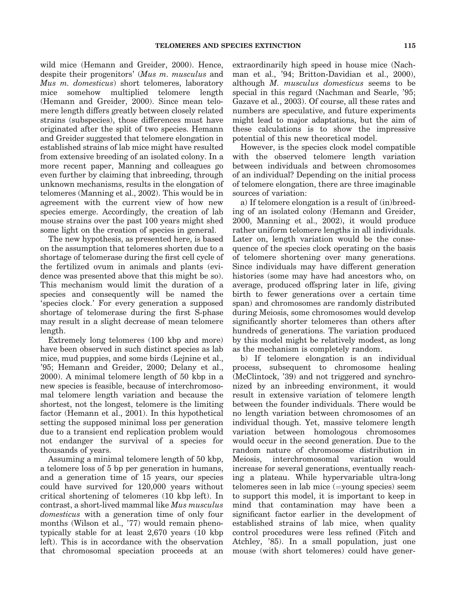wild mice (Hemann and Greider, 2000). Hence, despite their progenitors' (Mus m. musculus and Mus m. domesticus) short telomeres, laboratory mice somehow multiplied telomere length (Hemann and Greider, 2000). Since mean telomere length differs greatly between closely related strains (subspecies), those differences must have originated after the split of two species. Hemann and Greider suggested that telomere elongation in established strains of lab mice might have resulted from extensive breeding of an isolated colony. In a more recent paper, Manning and colleagues go even further by claiming that inbreeding, through unknown mechanisms, results in the elongation of telomeres (Manning et al., 2002). This would be in agreement with the current view of how new species emerge. Accordingly, the creation of lab mouse strains over the past 100 years might shed some light on the creation of species in general.

The new hypothesis, as presented here, is based on the assumption that telomeres shorten due to a shortage of telomerase during the first cell cycle of the fertilized ovum in animals and plants (evidence was presented above that this might be so). This mechanism would limit the duration of a species and consequently will be named the 'species clock.' For every generation a supposed shortage of telomerase during the first S-phase may result in a slight decrease of mean telomere length.

Extremely long telomeres (100 kbp and more) have been observed in such distinct species as lab mice, mud puppies, and some birds (Lejnine et al., '95; Hemann and Greider, 2000; Delany et al., 2000). A minimal telomere length of 50 kbp in a new species is feasible, because of interchromosomal telomere length variation and because the shortest, not the longest, telomere is the limiting factor (Hemann et al., 2001). In this hypothetical setting the supposed minimal loss per generation due to a transient end replication problem would not endanger the survival of a species for thousands of years.

Assuming a minimal telomere length of 50 kbp, a telomere loss of 5 bp per generation in humans, and a generation time of 15 years, our species could have survived for 120,000 years without critical shortening of telomeres (10 kbp left). In contrast, a short-lived mammal like Mus musculus domesticus with a generation time of only four months (Wilson et al., '77) would remain phenotypically stable for at least 2,670 years (10 kbp left). This is in accordance with the observation that chromosomal speciation proceeds at an

extraordinarily high speed in house mice (Nachman et al., '94; Britton-Davidian et al., 2000), although M. musculus domesticus seems to be special in this regard (Nachman and Searle, '95; Gazave et al., 2003). Of course, all these rates and numbers are speculative, and future experiments might lead to major adaptations, but the aim of these calculations is to show the impressive potential of this new theoretical model.

However, is the species clock model compatible with the observed telomere length variation between individuals and between chromosomes of an individual? Depending on the initial process of telomere elongation, there are three imaginable sources of variation:

a) If telomere elongation is a result of (in)breeding of an isolated colony (Hemann and Greider, 2000, Manning et al., 2002), it would produce rather uniform telomere lengths in all individuals. Later on, length variation would be the consequence of the species clock operating on the basis of telomere shortening over many generations. Since individuals may have different generation histories (some may have had ancestors who, on average, produced offspring later in life, giving birth to fewer generations over a certain time span) and chromosomes are randomly distributed during Meiosis, some chromosomes would develop significantly shorter telomeres than others after hundreds of generations. The variation produced by this model might be relatively modest, as long as the mechanism is completely random.

b) If telomere elongation is an individual process, subsequent to chromosome healing (McClintock, '39) and not triggered and synchronized by an inbreeding environment, it would result in extensive variation of telomere length between the founder individuals. There would be no length variation between chromosomes of an individual though. Yet, massive telomere length variation between homologous chromosomes would occur in the second generation. Due to the random nature of chromosome distribution in Meiosis, interchromosomal variation would increase for several generations, eventually reaching a plateau. While hypervariable ultra-long telomeres seen in lab mice  $($ =young species) seem to support this model, it is important to keep in mind that contamination may have been a significant factor earlier in the development of established strains of lab mice, when quality control procedures were less refined (Fitch and Atchley, '85). In a small population, just one mouse (with short telomeres) could have gener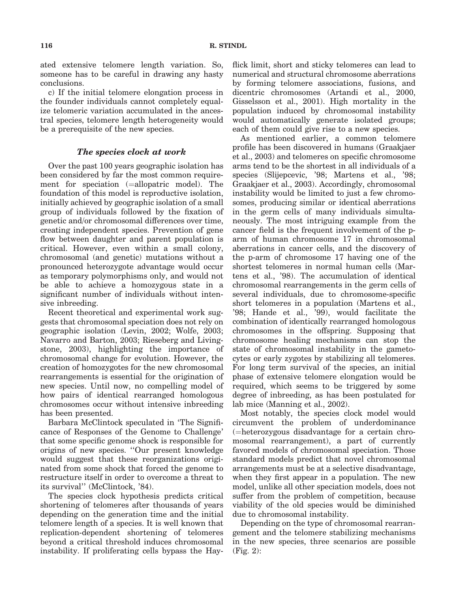ated extensive telomere length variation. So, someone has to be careful in drawing any hasty conclusions.

c) If the initial telomere elongation process in the founder individuals cannot completely equalize telomeric variation accumulated in the ancestral species, telomere length heterogeneity would be a prerequisite of the new species.

#### The species clock at work

Over the past 100 years geographic isolation has been considered by far the most common requirement for speciation  $(=allowative model)$ . The foundation of this model is reproductive isolation, initially achieved by geographic isolation of a small group of individuals followed by the fixation of genetic and/or chromosomal differences over time, creating independent species. Prevention of gene flow between daughter and parent population is critical. However, even within a small colony, chromosomal (and genetic) mutations without a pronounced heterozygote advantage would occur as temporary polymorphisms only, and would not be able to achieve a homozygous state in a significant number of individuals without intensive inbreeding.

Recent theoretical and experimental work suggests that chromosomal speciation does not rely on geographic isolation (Levin, 2002; Wolfe, 2003; Navarro and Barton, 2003; Rieseberg and Livingstone, 2003), highlighting the importance of chromosomal change for evolution. However, the creation of homozygotes for the new chromosomal rearrangements is essential for the origination of new species. Until now, no compelling model of how pairs of identical rearranged homologous chromosomes occur without intensive inbreeding has been presented.

Barbara McClintock speculated in 'The Significance of Responses of the Genome to Challenge' that some specific genome shock is responsible for origins of new species. ''Our present knowledge would suggest that these reorganizations originated from some shock that forced the genome to restructure itself in order to overcome a threat to its survival'' (McClintock, '84).

The species clock hypothesis predicts critical shortening of telomeres after thousands of years depending on the generation time and the initial telomere length of a species. It is well known that replication-dependent shortening of telomeres beyond a critical threshold induces chromosomal instability. If proliferating cells bypass the Hayflick limit, short and sticky telomeres can lead to numerical and structural chromosome aberrations by forming telomere associations, fusions, and dicentric chromosomes (Artandi et al., 2000, Gisselsson et al., 2001). High mortality in the population induced by chromosomal instability would automatically generate isolated groups; each of them could give rise to a new species.

As mentioned earlier, a common telomere profile has been discovered in humans (Graakjaer et al., 2003) and telomeres on specific chromosome arms tend to be the shortest in all individuals of a species (Slijepcevic, '98; Martens et al., '98; Graakjaer et al., 2003). Accordingly, chromosomal instability would be limited to just a few chromosomes, producing similar or identical aberrations in the germ cells of many individuals simultaneously. The most intriguing example from the cancer field is the frequent involvement of the parm of human chromosome 17 in chromosomal aberrations in cancer cells, and the discovery of the p-arm of chromosome 17 having one of the shortest telomeres in normal human cells (Martens et al., '98). The accumulation of identical chromosomal rearrangements in the germ cells of several individuals, due to chromosome-specific short telomeres in a population (Martens et al., '98; Hande et al., '99), would facilitate the combination of identically rearranged homologous chromosomes in the offspring. Supposing that chromosome healing mechanisms can stop the state of chromosomal instability in the gametocytes or early zygotes by stabilizing all telomeres. For long term survival of the species, an initial phase of extensive telomere elongation would be required, which seems to be triggered by some degree of inbreeding, as has been postulated for lab mice (Manning et al., 2002).

Most notably, the species clock model would circumvent the problem of underdominance  $(=$ heterozygous disadvantage for a certain chromosomal rearrangement), a part of currently favored models of chromosomal speciation. Those standard models predict that novel chromosomal arrangements must be at a selective disadvantage, when they first appear in a population. The new model, unlike all other speciation models, does not suffer from the problem of competition, because viability of the old species would be diminished due to chromosomal instability.

Depending on the type of chromosomal rearrangement and the telomere stabilizing mechanisms in the new species, three scenarios are possible (Fig. 2):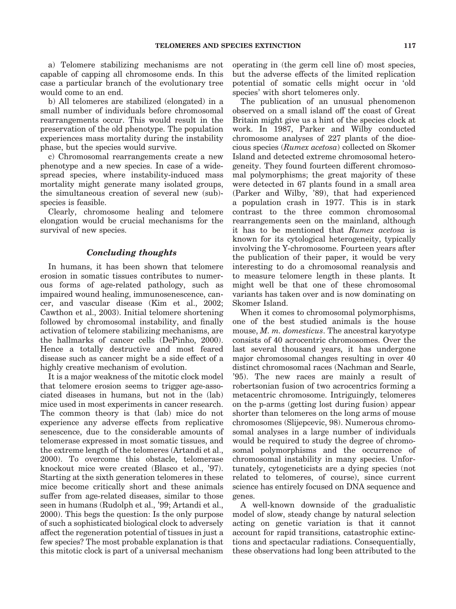a) Telomere stabilizing mechanisms are not capable of capping all chromosome ends. In this case a particular branch of the evolutionary tree would come to an end.

b) All telomeres are stabilized (elongated) in a small number of individuals before chromosomal rearrangements occur. This would result in the preservation of the old phenotype. The population experiences mass mortality during the instability phase, but the species would survive.

c) Chromosomal rearrangements create a new phenotype and a new species. In case of a widespread species, where instability-induced mass mortality might generate many isolated groups, the simultaneous creation of several new (sub) species is feasible.

Clearly, chromosome healing and telomere elongation would be crucial mechanisms for the survival of new species.

# Concluding thoughts

In humans, it has been shown that telomere erosion in somatic tissues contributes to numerous forms of age-related pathology, such as impaired wound healing, immunosenescence, cancer, and vascular disease (Kim et al., 2002; Cawthon et al., 2003). Initial telomere shortening followed by chromosomal instability, and finally activation of telomere stabilizing mechanisms, are the hallmarks of cancer cells (DePinho, 2000). Hence a totally destructive and most feared disease such as cancer might be a side effect of a highly creative mechanism of evolution.

It is a major weakness of the mitotic clock model that telomere erosion seems to trigger age-associated diseases in humans, but not in the (lab) mice used in most experiments in cancer research. The common theory is that (lab) mice do not experience any adverse effects from replicative senescence, due to the considerable amounts of telomerase expressed in most somatic tissues, and the extreme length of the telomeres (Artandi et al., 2000). To overcome this obstacle, telomerase knockout mice were created (Blasco et al., '97). Starting at the sixth generation telomeres in these mice become critically short and these animals suffer from age-related diseases, similar to those seen in humans (Rudolph et al., '99; Artandi et al., 2000). This begs the question: Is the only purpose of such a sophisticated biological clock to adversely affect the regeneration potential of tissues in just a few species? The most probable explanation is that this mitotic clock is part of a universal mechanism

operating in (the germ cell line of) most species, but the adverse effects of the limited replication potential of somatic cells might occur in 'old species' with short telomeres only.

The publication of an unusual phenomenon observed on a small island off the coast of Great Britain might give us a hint of the species clock at work. In 1987, Parker and Wilby conducted chromosome analyses of 227 plants of the dioecious species (Rumex acetosa) collected on Skomer Island and detected extreme chromosomal heterogeneity. They found fourteen different chromosomal polymorphisms; the great majority of these were detected in 67 plants found in a small area (Parker and Wilby, '89), that had experienced a population crash in 1977. This is in stark contrast to the three common chromosomal rearrangements seen on the mainland, although it has to be mentioned that Rumex acetosa is known for its cytological heterogeneity, typically involving the Y-chromosome. Fourteen years after the publication of their paper, it would be very interesting to do a chromosomal reanalysis and to measure telomere length in these plants. It might well be that one of these chromosomal variants has taken over and is now dominating on Skomer Island.

When it comes to chromosomal polymorphisms, one of the best studied animals is the house mouse, M. m. domesticus. The ancestral karyotype consists of 40 acrocentric chromosomes. Over the last several thousand years, it has undergone major chromosomal changes resulting in over 40 distinct chromosomal races (Nachman and Searle, '95). The new races are mainly a result of robertsonian fusion of two acrocentrics forming a metacentric chromosome. Intriguingly, telomeres on the p-arms (getting lost during fusion) appear shorter than telomeres on the long arms of mouse chromosomes (Slijepcevic, 98). Numerous chromosomal analyses in a large number of individuals would be required to study the degree of chromosomal polymorphisms and the occurrence of chromosomal instability in many species. Unfortunately, cytogeneticists are a dying species (not related to telomeres, of course), since current science has entirely focused on DNA sequence and genes.

A well-known downside of the gradualistic model of slow, steady change by natural selection acting on genetic variation is that it cannot account for rapid transitions, catastrophic extinctions and spectacular radiations. Consequentially, these observations had long been attributed to the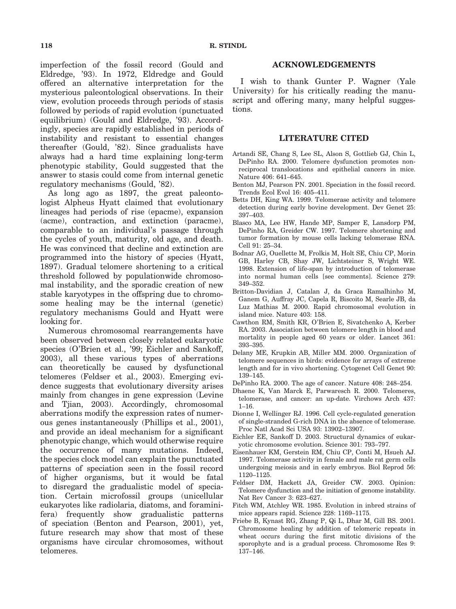imperfection of the fossil record (Gould and Eldredge, '93). In 1972, Eldredge and Gould offered an alternative interpretation for the mysterious paleontological observations. In their view, evolution proceeds through periods of stasis followed by periods of rapid evolution (punctuated equilibrium) (Gould and Eldredge, '93). Accordingly, species are rapidly established in periods of instability and resistant to essential changes thereafter (Gould, '82). Since gradualists have always had a hard time explaining long-term phenotypic stability, Gould suggested that the answer to stasis could come from internal genetic regulatory mechanisms (Gould, '82).

As long ago as 1897, the great paleontologist Alpheus Hyatt claimed that evolutionary lineages had periods of rise (epacme), expansion (acme), contraction, and extinction (paracme), comparable to an individual's passage through the cycles of youth, maturity, old age, and death. He was convinced that decline and extinction are programmed into the history of species (Hyatt, 1897). Gradual telomere shortening to a critical threshold followed by populationwide chromosomal instability, and the sporadic creation of new stable karyotypes in the offspring due to chromosome healing may be the internal (genetic) regulatory mechanisms Gould and Hyatt were looking for.

Numerous chromosomal rearrangements have been observed between closely related eukaryotic species (O'Brien et al., '99; Eichler and Sankoff, 2003), all these various types of aberrations can theoretically be caused by dysfunctional telomeres (Feldser et al., 2003). Emerging evidence suggests that evolutionary diversity arises mainly from changes in gene expression (Levine and Tjian, 2003). Accordingly, chromosomal aberrations modify the expression rates of numerous genes instantaneously (Phillips et al., 2001), and provide an ideal mechanism for a significant phenotypic change, which would otherwise require the occurrence of many mutations. Indeed, the species clock model can explain the punctuated patterns of speciation seen in the fossil record of higher organisms, but it would be fatal to disregard the gradualistic model of speciation. Certain microfossil groups (unicellular eukaryotes like radiolaria, diatoms, and foraminifera) frequently show gradualistic patterns of speciation (Benton and Pearson, 2001), yet, future research may show that most of these organisms have circular chromosomes, without telomeres.

# ACKNOWLEDGEMENTS

I wish to thank Gunter P. Wagner (Yale University) for his critically reading the manuscript and offering many, many helpful suggestions.

### LITERATURE CITED

- Artandi SE, Chang S, Lee SL, Alson S, Gottlieb GJ, Chin L, DePinho RA. 2000. Telomere dysfunction promotes nonreciprocal translocations and epithelial cancers in mice. Nature 406: 641–645.
- Benton MJ, Pearson PN. 2001. Speciation in the fossil record. Trends Ecol Evol 16: 405–411.
- Betts DH, King WA. 1999. Telomerase activity and telomere detection during early bovine development. Dev Genet 25: 397–403.
- Blasco MA, Lee HW, Hande MP, Samper E, Lansdorp PM, DePinho RA, Greider CW. 1997. Telomere shortening and tumor formation by mouse cells lacking telomerase RNA. Cell 91: 25–34.
- Bodnar AG, Ouellette M, Frolkis M, Holt SE, Chiu CP, Morin GB, Harley CB, Shay JW, Lichtsteiner S, Wright WE. 1998. Extension of life-span by introduction of telomerase into normal human cells [see comments]. Science 279: 349–352.
- Britton-Davidian J, Catalan J, da Graca Ramalhinho M, Ganem G, Auffray JC, Capela R, Biscoito M, Searle JB, da Luz Mathias M. 2000. Rapid chromosomal evolution in island mice. Nature 403: 158.
- Cawthon RM, Smith KR, O'Brien E, Sivatchenko A, Kerber RA. 2003. Association between telomere length in blood and mortality in people aged 60 years or older. Lancet 361: 393–395.
- Delany ME, Krupkin AB, Miller MM. 2000. Organization of telomere sequences in birds: evidence for arrays of extreme length and for in vivo shortening. Cytogenet Cell Genet 90: 139–145.
- DePinho RA. 2000. The age of cancer. Nature 408: 248–254.
- Dhaene K, Van Marck E, Parwaresch R. 2000. Telomeres, telomerase, and cancer: an up-date. Virchows Arch 437:  $1 - 16$
- Dionne I, Wellinger RJ. 1996. Cell cycle-regulated generation of single-stranded G-rich DNA in the absence of telomerase. Proc Natl Acad Sci USA 93: 13902–13907.
- Eichler EE, Sankoff D. 2003. Structural dynamics of eukaryotic chromosome evolution. Science 301: 793–797.
- Eisenhauer KM, Gerstein RM, Chiu CP, Conti M, Hsueh AJ. 1997. Telomerase activity in female and male rat germ cells undergoing meiosis and in early embryos. Biol Reprod 56: 1120–1125.
- Feldser DM, Hackett JA, Greider CW. 2003. Opinion: Telomere dysfunction and the initiation of genome instability. Nat Rev Cancer 3: 623–627.
- Fitch WM, Atchley WR. 1985. Evolution in inbred strains of mice appears rapid. Science 228: 1169–1175.
- Friebe B, Kynast RG, Zhang P, Qi L, Dhar M, Gill BS. 2001. Chromosome healing by addition of telomeric repeats in wheat occurs during the first mitotic divisions of the sporophyte and is a gradual process. Chromosome Res 9: 137–146.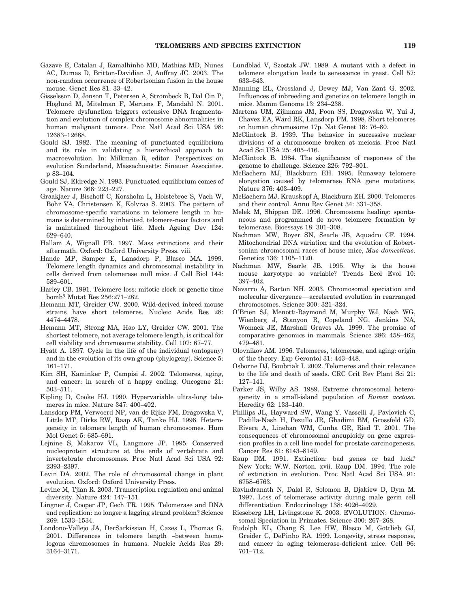- Gazave E, Catalan J, Ramalhinho MD, Mathias MD, Nunes AC, Dumas D, Britton-Davidian J, Auffray JC. 2003. The non-random occurrence of Robertsonian fusion in the house mouse. Genet Res 81: 33–42.
- Gisselsson D, Jonson T, Petersen A, Strombeck B, Dal Cin P, Hoglund M, Mitelman F, Mertens F, Mandahl N. 2001. Telomere dysfunction triggers extensive DNA fragmentation and evolution of complex chromosome abnormalities in human malignant tumors. Proc Natl Acad Sci USA 98: 12683–12688.
- Gould SJ. 1982. The meaning of punctuated equilibrium and its role in validating a hierarchical approach to macroevolution. In: Milkman R, editor. Perspectives on evolution Sunderland, Massachusetts: Sinauer Associates. p 83–104.
- Gould SJ, Eldredge N. 1993. Punctuated equilibrium comes of age. Nature 366: 223–227.
- Graakjaer J, Bischoff C, Korsholm L, Holstebroe S, Vach W, Bohr VA, Christensen K, Kolvraa S. 2003. The pattern of chromosome-specific variations in telomere length in humans is determined by inherited, telomere-near factors and is maintained throughout life. Mech Ageing Dev 124: 629–640.
- Hallam A, Wignall PB. 1997. Mass extinctions and their aftermath. Oxford: Oxford University Press. viii.
- Hande MP, Samper E, Lansdorp P, Blasco MA. 1999. Telomere length dynamics and chromosomal instability in cells derived from telomerase null mice. J Cell Biol 144: 589–601.
- Harley CB. 1991. Telomere loss: mitotic clock or genetic time bomb? Mutat Res 256:271–282.
- Hemann MT, Greider CW. 2000. Wild-derived inbred mouse strains have short telomeres. Nucleic Acids Res 28: 4474–4478.
- Hemann MT, Strong MA, Hao LY, Greider CW. 2001. The shortest telomere, not average telomere length, is critical for cell viability and chromosome stability. Cell 107: 67–77.
- Hyatt A. 1897. Cycle in the life of the individual (ontogeny) and in the evolution of its own group (phylogeny). Science 5: 161–171.
- Kim SH, Kaminker P, Campisi J. 2002. Telomeres, aging, and cancer: in search of a happy ending. Oncogene 21: 503–511.
- Kipling D, Cooke HJ. 1990. Hypervariable ultra-long telomeres in mice. Nature 347: 400–402.
- Lansdorp PM, Verwoerd NP, van de Rijke FM, Dragowska V, Little MT, Dirks RW, Raap AK, Tanke HJ. 1996. Heterogeneity in telomere length of human chromosomes. Hum Mol Genet 5: 685–691.
- Lejnine S, Makarov VL, Langmore JP. 1995. Conserved nucleoprotein structure at the ends of vertebrate and invertebrate chromosomes. Proc Natl Acad Sci USA 92: 2393–2397.
- Levin DA. 2002. The role of chromosomal change in plant evolution. Oxford: Oxford University Press.
- Levine M, Tijan R, 2003. Transcription regulation and animal diversity. Nature 424: 147–151.
- Lingner J, Cooper JP, Cech TR. 1995. Telomerase and DNA end replication: no longer a lagging strand problem? Science 269: 1533–1534.
- Londono-Vallejo JA, DerSarkissian H, Cazes L, Thomas G. 2001. Differences in telomere length –between homologous chromosomes in humans. Nucleic Acids Res 29: 3164–3171.
- Lundblad V, Szostak JW. 1989. A mutant with a defect in telomere elongation leads to senescence in yeast. Cell 57: 633–643.
- Manning EL, Crossland J, Dewey MJ, Van Zant G. 2002. Influences of inbreeding and genetics on telomere length in mice. Mamm Genome 13: 234–238.
- Martens UM, Zijlmans JM, Poon SS, Dragowska W, Yui J, Chavez EA, Ward RK, Lansdorp PM. 1998. Short telomeres on human chromosome 17p. Nat Genet 18: 76–80.
- McClintock B. 1939. The behavior in successive nuclear divisions of a chromosome broken at meiosis. Proc Natl Acad Sci USA 25: 405–416.
- McClintock B. 1984. The significance of responses of the genome to challenge. Science 226: 792–801.
- McEachern MJ, Blackburn EH. 1995. Runaway telomere elongation caused by telomerase RNA gene mutations. Nature 376: 403–409.
- McEachern MJ, Krauskopf A, Blackburn EH. 2000. Telomeres and their control. Annu Rev Genet 34: 331–358.
- Melek M, Shippen DE. 1996. Chromosome healing: spontaneous and programmed de novo telomere formation by telomerase. Bioessays 18: 301–308.
- Nachman MW, Boyer SN, Searle JB, Aquadro CF. 1994. Mitochondrial DNA variation and the evolution of Robertsonian chromosomal races of house mice, Mus domesticus. Genetics 136: 1105–1120.
- Nachman MW, Searle JB. 1995. Why is the house mouse karyotype so variable? Trends Ecol Evol 10: 397–402.
- Navarro A, Barton NH. 2003. Chromosomal speciation and molecular divergence—accelerated evolution in rearranged chromosomes. Science 300: 321–324.
- O'Brien SJ, Menotti-Raymond M, Murphy WJ, Nash WG, Wienberg J, Stanyon R, Copeland NG, Jenkins NA, Womack JE, Marshall Graves JA. 1999. The promise of comparative genomics in mammals. Science 286: 458–462, 479–481.
- Olovnikov AM. 1996. Telomeres, telomerase, and aging: origin of the theory. Exp Gerontol 31: 443–448.
- Osborne DJ, Boubriak I. 2002. Telomeres and their relevance to the life and death of seeds. CRC Crit Rev Plant Sci 21: 127–141.
- Parker JS, Wilby AS. 1989. Extreme chromosomal heterogeneity in a small-island population of Rumex acetosa. Heredity 62: 133–140.
- Phillips JL, Hayward SW, Wang Y, Vasselli J, Pavlovich C, Padilla-Nash H, Pezullo JR, Ghadimi BM, Grossfeld GD, Rivera A, Linehan WM, Cunha GR, Ried T. 2001. The consequences of chromosomal aneuploidy on gene expression profiles in a cell line model for prostate carcinogenesis. Cancer Res 61: 8143–8149.
- Raup DM. 1991. Extinction: bad genes or bad luck? New York: W.W. Norton. xvii. Raup DM. 1994. The role of extinction in evolution. Proc Natl Acad Sci USA 91: 6758–6763.
- Ravindranath N, Dalal R, Solomon B, Djakiew D, Dym M. 1997. Loss of telomerase activity during male germ cell differentiation. Endocrinology 138: 4026–4029.
- Rieseberg LH, Livingstone K. 2003. EVOLUTION: Chromosomal Speciation in Primates. Science 300: 267–268.
- Rudolph KL, Chang S, Lee HW, Blasco M, Gottlieb GJ, Greider C, DePinho RA. 1999. Longevity, stress response, and cancer in aging telomerase-deficient mice. Cell 96: 701–712.